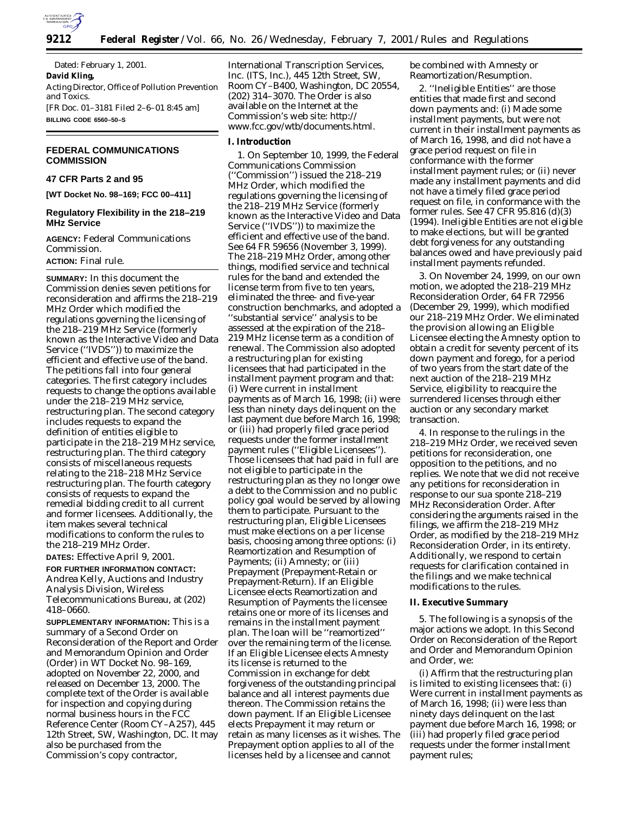

Dated: February 1, 2001. **David Kling,** *Acting Director, Office of Pollution Prevention and Toxics.* [FR Doc. 01–3181 Filed 2–6–01 8:45 am] **BILLING CODE 6560–50–S**

## **FEDERAL COMMUNICATIONS COMMISSION**

## **47 CFR Parts 2 and 95**

**[WT Docket No. 98–169; FCC 00–411]**

## **Regulatory Flexibility in the 218–219 MHz Service**

**AGENCY:** Federal Communications Commission.

# **ACTION:** Final rule.

**SUMMARY:** In this document the Commission denies seven petitions for reconsideration and affirms the *218–219 MHz Order* which modified the regulations governing the licensing of the 218–219 MHz Service (formerly known as the Interactive Video and Data Service (''IVDS'')) to maximize the efficient and effective use of the band. The petitions fall into four general categories. The first category includes requests to change the options available under the 218–219 MHz service, restructuring plan. The second category includes requests to expand the definition of entities eligible to participate in the 218–219 MHz service, restructuring plan. The third category consists of miscellaneous requests relating to the 218–218 MHz Service restructuring plan. The fourth category consists of requests to expand the remedial bidding credit to all current and former licensees. Additionally, the item makes several technical modifications to conform the rules to the *218–219 MHz Order.*

**DATES:** Effective April 9, 2001.

**FOR FURTHER INFORMATION CONTACT:** Andrea Kelly, Auctions and Industry Analysis Division, Wireless Telecommunications Bureau, at (202) 418–0660.

**SUPPLEMENTARY INFORMATION:** This is a summary of a Second Order on Reconsideration of the Report and Order and Memorandum Opinion and Order (*Order*) in WT Docket No. 98–169, adopted on November 22, 2000, and released on December 13, 2000. The complete text of the *Order* is available for inspection and copying during normal business hours in the FCC Reference Center (Room CY–A257), 445 12th Street, SW, Washington, DC. It may also be purchased from the Commission's copy contractor,

International Transcription Services, Inc. (ITS, Inc.), 445 12th Street, SW, Room CY–B400, Washington, DC 20554, (202) 314–3070. The *Order* is also available on the Internet at the Commission's web site: *http:// www.fcc.gov/wtb/documents.html.*

## **I. Introduction**

1. On September 10, 1999, the Federal Communications Commission (''Commission'') issued the *218–219 MHz Order*, which modified the regulations governing the licensing of the 218–219 MHz Service (formerly known as the Interactive Video and Data Service (''IVDS'')) to maximize the efficient and effective use of the band. *See* 64 FR 59656 (November 3, 1999). The *218–219 MHz Order*, among other things, modified service and technical rules for the band and extended the license term from five to ten years, eliminated the three- and five-year construction benchmarks, and adopted a ''substantial service'' analysis to be assessed at the expiration of the 218– 219 MHz license term as a condition of renewal. The Commission also adopted a restructuring plan for existing licensees that had participated in the installment payment program and that: (i) Were current in installment payments as of March 16, 1998; (ii) were less than ninety days delinquent on the last payment due before March 16, 1998; or (iii) had properly filed grace period requests under the former installment payment rules (''Eligible Licensees''). Those licensees that had paid in full are not eligible to participate in the restructuring plan as they no longer owe a debt to the Commission and no public policy goal would be served by allowing them to participate. Pursuant to the restructuring plan, Eligible Licensees must make elections on a per license basis, choosing among three options: (i) Reamortization and Resumption of Payments; (ii) Amnesty; or (iii) Prepayment (Prepayment-Retain or Prepayment-Return). If an Eligible Licensee elects Reamortization and Resumption of Payments the licensee retains one or more of its licenses and remains in the installment payment plan. The loan will be ''reamortized'' over the remaining term of the license. If an Eligible Licensee elects Amnesty its license is returned to the Commission in exchange for debt forgiveness of the outstanding principal balance and all interest payments due thereon. The Commission retains the down payment. If an Eligible Licensee elects Prepayment it may return or retain as many licenses as it wishes. The Prepayment option applies to all of the licenses held by a licensee and cannot

be combined with Amnesty or Reamortization/Resumption.

2. ''Ineligible Entities'' are those entities that made first and second down payments and: (i) Made some installment payments, but were not current in their installment payments as of March 16, 1998, and did not have a grace period request on file in conformance with the former installment payment rules; or (ii) never made any installment payments and did not have a timely filed grace period request on file, in conformance with the former rules. *See* 47 CFR 95.816 (d)(3) (1994). Ineligible Entities are not eligible to make elections, but will be granted debt forgiveness for any outstanding balances owed and have previously paid installment payments refunded.

3. On November 24, 1999, on our own motion, we adopted the *218–219 MHz Reconsideration Order*, 64 FR 72956 (December 29, 1999), which modified our *218–219 MHz Order.* We eliminated the provision allowing an Eligible Licensee electing the Amnesty option to obtain a credit for seventy percent of its down payment and forego, for a period of two years from the start date of the next auction of the 218–219 MHz Service, eligibility to reacquire the surrendered licenses through either auction or any secondary market transaction.

4. In response to the rulings in the *218–219 MHz Order*, we received seven petitions for reconsideration, one opposition to the petitions, and no replies. We note that we did not receive any petitions for reconsideration in response to our *sua sponte 218–219 MHz Reconsideration Order.* After considering the arguments raised in the filings, we affirm the *218–219 MHz Order*, as modified by *the 218–219 MHz Reconsideration Order*, in its entirety. Additionally, we respond to certain requests for clarification contained in the filings and we make technical modifications to the rules.

### **II. Executive Summary**

5. The following is a synopsis of the major actions we adopt. In this *Second Order on Reconsideration of the Report and Order and Memorandum Opinion and Order*, we:

(i) Affirm that the restructuring plan is limited to existing licensees that: (i) Were current in installment payments as of March 16, 1998; (ii) were less than ninety days delinquent on the last payment due before March 16, 1998; or (iii) had properly filed grace period requests under the former installment payment rules;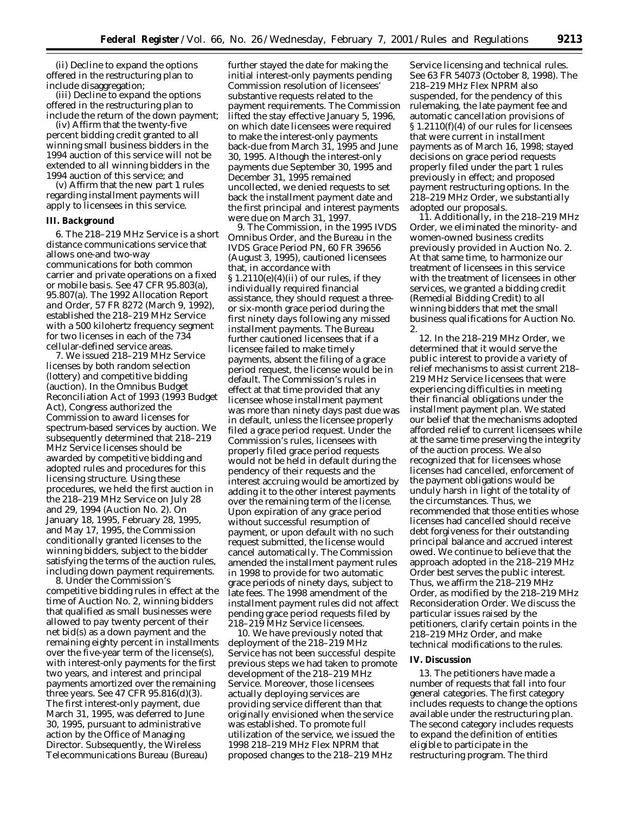(ii) Decline to expand the options offered in the restructuring plan to include disaggregation;

(iii) Decline to expand the options offered in the restructuring plan to include the return of the down payment;

(iv) Affirm that the twenty-five percent bidding credit granted to all winning small business bidders in the 1994 auction of this service will not be extended to all winning bidders in the 1994 auction of this service; and

(v) Affirm that the new part 1 rules regarding installment payments will apply to licensees in this service.

#### **III. Background**

6. The 218–219 MHz Service is a short distance communications service that allows one-and two-way communications for both common carrier and private operations on a fixed or mobile basis. *See* 47 CFR 95.803(a), 95.807(a). The *1992 Allocation Report and Order*, 57 FR 8272 (March 9, 1992), established the 218–219 MHz Service with a 500 kilohertz frequency segment for two licenses in each of the 734 cellular-defined service areas.

7. We issued 218–219 MHz Service licenses by both random selection (lottery) and competitive bidding (auction). In the Omnibus Budget Reconciliation Act of 1993 (*1993 Budget Act*), Congress authorized the Commission to award licenses for spectrum-based services by auction. We subsequently determined that 218–219 MHz Service licenses should be awarded by competitive bidding and adopted rules and procedures for this licensing structure. Using these procedures, we held the first auction in the 218–219 MHz Service on July 28 and 29, 1994 (Auction No. 2). On January 18, 1995, February 28, 1995, and May 17, 1995, the Commission conditionally granted licenses to the winning bidders, subject to the bidder satisfying the terms of the auction rules, including down payment requirements.

8. Under the Commission's competitive bidding rules in effect at the time of Auction No. 2, winning bidders that qualified as small businesses were allowed to pay twenty percent of their net bid(s) as a down payment and the remaining eighty percent in installments over the five-year term of the license(s), with interest-only payments for the first two years, and interest and principal payments amortized over the remaining three years. *See* 47 CFR 95.816(d)(3). The first interest-only payment, due March 31, 1995, was deferred to June 30, 1995, pursuant to administrative action by the Office of Managing Director. Subsequently, the Wireless Telecommunications Bureau (Bureau)

further stayed the date for making the initial interest-only payments pending Commission resolution of licensees' substantive requests related to the payment requirements. The Commission lifted the stay effective January 5, 1996, on which date licensees were required to make the interest-only payments back-due from March 31, 1995 and June 30, 1995. Although the interest-only payments due September 30, 1995 and December 31, 1995 remained uncollected, we denied requests to set back the installment payment date and the first principal and interest payments were due on March 31, 1997.

9. The Commission, in the *1995 IVDS Omnibus Order*, and the Bureau in the *IVDS Grace Period PN*, 60 FR 39656 (August 3, 1995), cautioned licensees that, in accordance with  $\S 1.2110(e)(4)(ii)$  of our rules, if they individually required financial assistance, they should request a threeor six-month grace period during the first ninety days following any missed installment payments. The Bureau further cautioned licensees that if a licensee failed to make timely payments, absent the filing of a grace period request, the license would be in default. The Commission's rules in effect at that time provided that any licensee whose installment payment was more than ninety days past due was in default, unless the licensee properly filed a grace period request. Under the Commission's rules, licensees with properly filed grace period requests would not be held in default during the pendency of their requests and the interest accruing would be amortized by adding it to the other interest payments over the remaining term of the license. Upon expiration of any grace period without successful resumption of payment, or upon default with no such request submitted, the license would cancel automatically. The Commission amended the installment payment rules in 1998 to provide for two automatic grace periods of ninety days, subject to late fees. The 1998 amendment of the installment payment rules did not affect pending grace period requests filed by 218–219 MHz Service licensees.

10. We have previously noted that deployment of the 218–219 MHz Service has not been successful despite previous steps we had taken to promote development of the 218–219 MHz Service. Moreover, those licensees actually deploying services are providing service different than that originally envisioned when the service was established. To promote full utilization of the service, we issued the 1998 *218–219 MHz Flex NPRM* that proposed changes to the 218–219 MHz

Service licensing and technical rules. *See* 63 FR 54073 (October 8, 1998). The *218–219 MHz Flex NPRM* also suspended, for the pendency of this rulemaking, the late payment fee and automatic cancellation provisions of § 1.2110(f)(4) of our rules for licensees that were current in installment payments as of March 16, 1998; stayed decisions on grace period requests properly filed under the part 1 rules previously in effect; and proposed payment restructuring options. In the *218–219 MHz Order*, we substantially adopted our proposals.

11. Additionally, in the *218–219 MHz Order*, we eliminated the minority- and women-owned business credits previously provided in Auction No. 2. At that same time, to harmonize our treatment of licensees in this service with the treatment of licensees in other services, we granted a bidding credit (Remedial Bidding Credit) to all winning bidders that met the small business qualifications for Auction No. 2.

12. In the *218–219 MHz Order*, we determined that it would serve the public interest to provide a variety of relief mechanisms to assist current 218– 219 MHz Service licensees that were experiencing difficulties in meeting their financial obligations under the installment payment plan. We stated our belief that the mechanisms adopted afforded relief to current licensees while at the same time preserving the integrity of the auction process. We also recognized that for licensees whose licenses had cancelled, enforcement of the payment obligations would be unduly harsh in light of the totality of the circumstances. Thus, we recommended that those entities whose licenses had cancelled should receive debt forgiveness for their outstanding principal balance and accrued interest owed. We continue to believe that the approach adopted in the *218–219 MHz Order* best serves the public interest. Thus, we affirm the *218–219 MHz Order*, as modified by the *218–219 MHz Reconsideration Order.* We discuss the particular issues raised by the petitioners, clarify certain points in the *218–219 MHz Order*, and make technical modifications to the rules.

## **IV. Discussion**

13. The petitioners have made a number of requests that fall into four general categories. The first category includes requests to change the options available under the restructuring plan. The second category includes requests to expand the definition of entities eligible to participate in the restructuring program. The third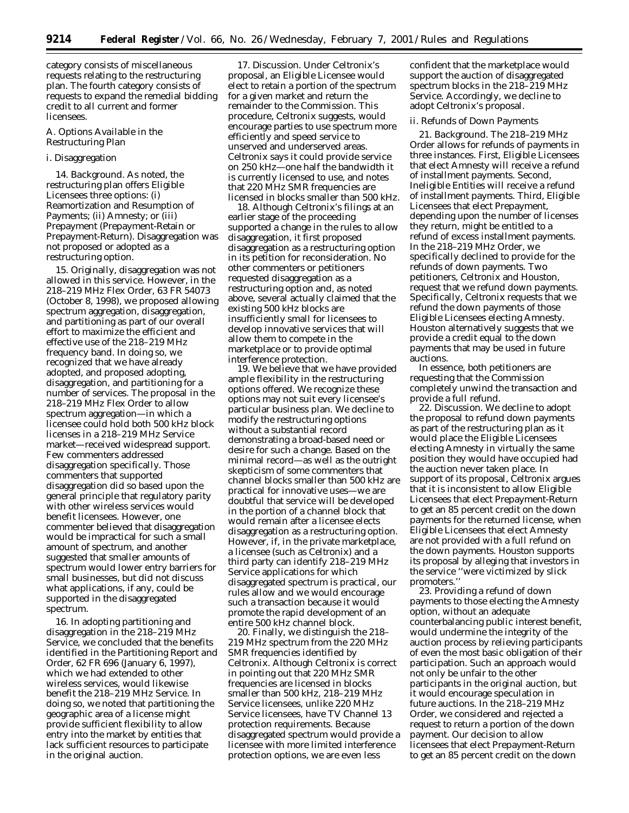category consists of miscellaneous requests relating to the restructuring plan. The fourth category consists of requests to expand the remedial bidding credit to all current and former licensees.

## *A. Options Available in the Restructuring Plan*

## i. Disaggregation

14. *Background.* As noted, the restructuring plan offers Eligible Licensees three options: (i) Reamortization and Resumption of Payments; (ii) Amnesty; or (iii) Prepayment (Prepayment-Retain or Prepayment-Return). Disaggregation was not proposed or adopted as a restructuring option.

15. Originally, disaggregation was not allowed in this service. However, in the *218–219 MHz Flex Order,* 63 FR 54073 (October 8, 1998), we proposed allowing spectrum aggregation, disaggregation, and partitioning as part of our overall effort to maximize the efficient and effective use of the 218–219 MHz frequency band. In doing so, we recognized that we have already adopted, and proposed adopting, disaggregation, and partitioning for a number of services. The proposal in the *218–219 MHz Flex Order* to allow spectrum aggregation—in which a licensee could hold both 500 kHz block licenses in a 218–219 MHz Service market—received widespread support. Few commenters addressed disaggregation specifically. Those commenters that supported disaggregation did so based upon the general principle that regulatory parity with other wireless services would benefit licensees. However, one commenter believed that disaggregation would be impractical for such a small amount of spectrum, and another suggested that smaller amounts of spectrum would lower entry barriers for small businesses, but did not discuss what applications, if any, could be supported in the disaggregated spectrum.

16. In adopting partitioning and disaggregation in the 218–219 MHz Service, we concluded that the benefits identified in the *Partitioning Report and Order,* 62 FR 696 (January 6, 1997), which we had extended to other wireless services, would likewise benefit the 218–219 MHz Service. In doing so, we noted that partitioning the geographic area of a license might provide sufficient flexibility to allow entry into the market by entities that lack sufficient resources to participate in the original auction.

17. *Discussion.* Under Celtronix's proposal, an Eligible Licensee would elect to retain a portion of the spectrum for a given market and return the remainder to the Commission. This procedure, Celtronix suggests, would encourage parties to use spectrum more efficiently and speed service to unserved and underserved areas. Celtronix says it could provide service on 250 kHz—one half the bandwidth it is currently licensed to use, and notes that 220 MHz SMR frequencies are licensed in blocks smaller than 500 kHz.

18. Although Celtronix's filings at an earlier stage of the proceeding supported a change in the rules to allow disaggregation, it first proposed disaggregation as a restructuring option in its petition for reconsideration. No other commenters or petitioners requested disaggregation as a restructuring option and, as noted above, several actually claimed that the existing 500 kHz blocks are insufficiently small for licensees to develop innovative services that will allow them to compete in the marketplace or to provide optimal interference protection.

19. We believe that we have provided ample flexibility in the restructuring options offered. We recognize these options may not suit every licensee's particular business plan. We decline to modify the restructuring options without a substantial record demonstrating a broad-based need or desire for such a change. Based on the minimal record—as well as the outright skepticism of some commenters that channel blocks smaller than 500 kHz are practical for innovative uses—we are doubtful that service will be developed in the portion of a channel block that would remain after a licensee elects disaggregation as a restructuring option. However, if, in the private marketplace, a licensee (such as Celtronix) and a third party can identify 218–219 MHz Service applications for which disaggregated spectrum is practical, our rules allow and we would encourage such a transaction because it would promote the rapid development of an entire 500 kHz channel block.

20. Finally, we distinguish the 218– 219 MHz spectrum from the 220 MHz SMR frequencies identified by Celtronix. Although Celtronix is correct in pointing out that 220 MHz SMR frequencies are licensed in blocks smaller than 500 kHz, 218–219 MHz Service licensees, unlike 220 MHz Service licensees, have TV Channel 13 protection requirements. Because disaggregated spectrum would provide a licensee with more limited interference protection options, we are even less

confident that the marketplace would support the auction of disaggregated spectrum blocks in the 218–219 MHz Service. Accordingly, we decline to adopt Celtronix's proposal.

### ii. Refunds of Down Payments

21. *Background.* The *218–219 MHz Order* allows for refunds of payments in three instances. First, Eligible Licensees that elect Amnesty will receive a refund of installment payments. Second, Ineligible Entities will receive a refund of installment payments. Third, Eligible Licensees that elect Prepayment, depending upon the number of licenses they return, might be entitled to a refund of excess installment payments. In the *218–219 MHz Order,* we specifically declined to provide for the refunds of down payments. Two petitioners, Celtronix and Houston, request that we refund down payments. Specifically, Celtronix requests that we refund the down payments of those Eligible Licensees electing Amnesty. Houston alternatively suggests that we provide a credit equal to the down payments that may be used in future auctions.

In essence, both petitioners are requesting that the Commission completely unwind the transaction and provide a full refund.

22. *Discussion.* We decline to adopt the proposal to refund down payments as part of the restructuring plan as it would place the Eligible Licensees electing Amnesty in virtually the same position they would have occupied had the auction never taken place. In support of its proposal, Celtronix argues that it is inconsistent to allow Eligible Licensees that elect Prepayment-Return to get an 85 percent credit on the down payments for the returned license, when Eligible Licensees that elect Amnesty are not provided with a full refund on the down payments. Houston supports its proposal by alleging that investors in the service ''were victimized by slick promoters.''

23. Providing a refund of down payments to those electing the Amnesty option, without an adequate counterbalancing public interest benefit, would undermine the integrity of the auction process by relieving participants of even the most basic obligation of their participation. Such an approach would not only be unfair to the other participants in the original auction, but it would encourage speculation in future auctions. In the *218–219 MHz Order,* we considered and rejected a request to return a portion of the down payment. Our decision to allow licensees that elect Prepayment-Return to get an 85 percent credit on the down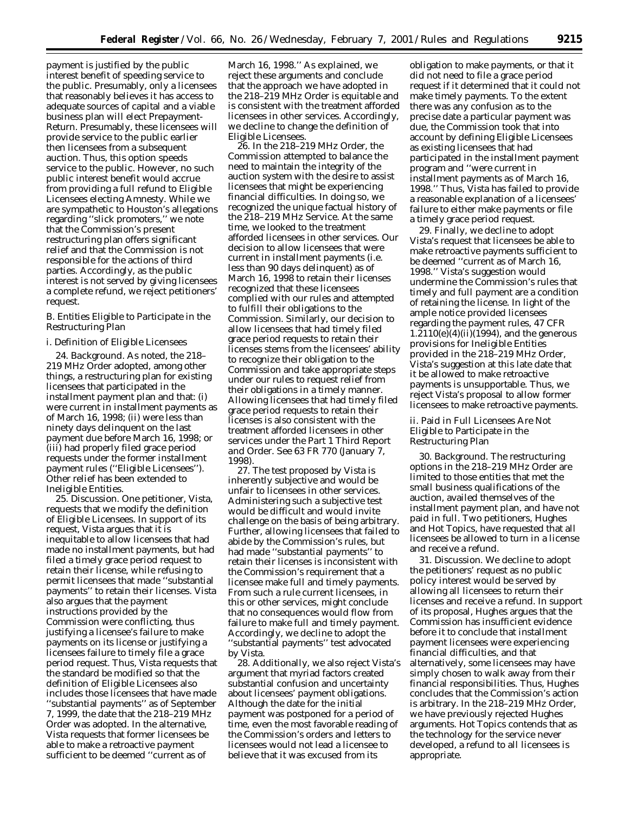payment is justified by the public interest benefit of speeding service to the public. Presumably, only a licensees that reasonably believes it has access to adequate sources of capital and a viable business plan will elect Prepayment-Return. Presumably, these licensees will provide service to the public earlier then licensees from a subsequent auction. Thus, this option speeds service to the public. However, no such public interest benefit would accrue from providing a full refund to Eligible Licensees electing Amnesty. While we are sympathetic to Houston's allegations regarding ''slick promoters,'' we note that the Commission's present restructuring plan offers significant relief and that the Commission is not responsible for the actions of third parties. Accordingly, as the public interest is not served by giving licensees a complete refund, we reject petitioners' request.

## *B. Entities Eligible to Participate in the Restructuring Plan*

## i. Definition of Eligible Licensees

24. *Background.* As noted, the *218– 219 MHz Order* adopted, among other things, a restructuring plan for existing licensees that participated in the installment payment plan and that: (i) were current in installment payments as of March 16, 1998; (ii) were less than ninety days delinquent on the last payment due before March 16, 1998; or (iii) had properly filed grace period requests under the former installment payment rules (''Eligible Licensees''). Other relief has been extended to Ineligible Entities.

25. *Discussion.* One petitioner, Vista, requests that we modify the definition of Eligible Licensees. In support of its request, Vista argues that it is inequitable to allow licensees that had made no installment payments, but had filed a timely grace period request to retain their license, while refusing to permit licensees that made ''substantial payments'' to retain their licenses. Vista also argues that the payment instructions provided by the Commission were conflicting, thus justifying a licensee's failure to make payments on its license or justifying a licensees failure to timely file a grace period request. Thus, Vista requests that the standard be modified so that the definition of Eligible Licensees also includes those licensees that have made ''substantial payments'' as of September 7, 1999, the date that the *218–219 MHz Order* was adopted. In the alternative, Vista requests that former licensees be able to make a retroactive payment sufficient to be deemed ''current as of

March 16, 1998.'' As explained, we reject these arguments and conclude that the approach we have adopted in the *218–219 MHz Order* is equitable and is consistent with the treatment afforded licensees in other services. Accordingly, we decline to change the definition of Eligible Licensees.

26. In the *218–219 MHz Order,* the Commission attempted to balance the need to maintain the integrity of the auction system with the desire to assist licensees that might be experiencing financial difficulties. In doing so, we recognized the unique factual history of the 218–219 MHz Service. At the same time, we looked to the treatment afforded licensees in other services. Our decision to allow licensees that were current in installment payments (*i.e.* less than 90 days delinquent) as of March 16, 1998 to retain their licenses recognized that these licensees complied with our rules and attempted to fulfill their obligations to the Commission. Similarly, our decision to allow licensees that had timely filed grace period requests to retain their licenses stems from the licensees' ability to recognize their obligation to the Commission and take appropriate steps under our rules to request relief from their obligations in a timely manner. Allowing licensees that had timely filed grace period requests to retain their licenses is also consistent with the treatment afforded licensees in other services under the *Part 1 Third Report and Order. See* 63 FR 770 (January 7, 1998).

27. The test proposed by Vista is inherently subjective and would be unfair to licensees in other services. Administering such a subjective test would be difficult and would invite challenge on the basis of being arbitrary. Further, allowing licensees that failed to abide by the Commission's rules, but had made ''substantial payments'' to retain their licenses is inconsistent with the Commission's requirement that a licensee make full and timely payments. From such a rule current licensees, in this or other services, might conclude that no consequences would flow from failure to make full and timely payment. Accordingly, we decline to adopt the ''substantial payments'' test advocated by Vista.

28. Additionally, we also reject Vista's argument that myriad factors created substantial confusion and uncertainty about licensees' payment obligations. Although the date for the initial payment was postponed for a period of time, even the most favorable reading of the Commission's orders and letters to licensees would not lead a licensee to believe that it was excused from its

obligation to make payments, or that it did not need to file a grace period request if it determined that it could not make timely payments. To the extent there was any confusion as to the precise date a particular payment was due, the Commission took that into account by defining Eligible Licensees as existing licensees that had participated in the installment payment program and ''were current in installment payments as of March 16, 1998.'' Thus, Vista has failed to provide a reasonable explanation of a licensees' failure to either make payments or file a timely grace period request.

29. Finally, we decline to adopt Vista's request that licensees be able to make retroactive payments sufficient to be deemed ''current as of March 16, 1998.'' Vista's suggestion would undermine the Commission's rules that timely and full payment are a condition of retaining the license. In light of the ample notice provided licensees regarding the payment rules, 47 CFR  $1.2110(e)(4)(ii)(1994)$ , and the generous provisions for Ineligible Entities provided in the *218–219 MHz Order,* Vista's suggestion at this late date that it be allowed to make retroactive payments is unsupportable. Thus, we reject Vista's proposal to allow former licensees to make retroactive payments.

ii. Paid in Full Licensees Are Not Eligible to Participate in the Restructuring Plan

30. *Background.* The restructuring options in the *218–219 MHz Order* are limited to those entities that met the small business qualifications of the auction, availed themselves of the installment payment plan, and have not paid in full. Two petitioners, Hughes and Hot Topics, have requested that all licensees be allowed to turn in a license and receive a refund.

31. *Discussion.* We decline to adopt the petitioners' request as no public policy interest would be served by allowing all licensees to return their licenses and receive a refund. In support of its proposal, Hughes argues that the Commission has insufficient evidence before it to conclude that installment payment licensees were experiencing financial difficulties, and that alternatively, some licensees may have simply chosen to walk away from their financial responsibilities. Thus, Hughes concludes that the Commission's action is arbitrary. In the *218–219 MHz Order,* we have previously rejected Hughes arguments. Hot Topics contends that as the technology for the service never developed, a refund to all licensees is appropriate.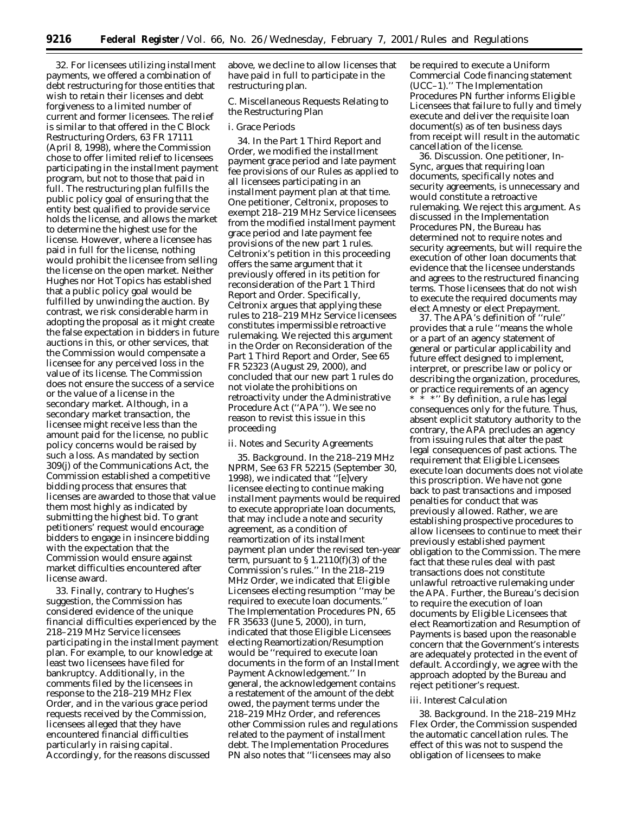32. For licensees utilizing installment payments, we offered a combination of debt restructuring for those entities that wish to retain their licenses and debt forgiveness to a limited number of current and former licensees. The relief is similar to that offered in the *C Block Restructuring Orders,* 63 FR 17111 (April 8, 1998), where the Commission chose to offer limited relief to licensees participating in the installment payment program, but not to those that paid in full. The restructuring plan fulfills the public policy goal of ensuring that the entity best qualified to provide service holds the license, and allows the market to determine the highest use for the license. However, where a licensee has paid in full for the license, nothing would prohibit the licensee from selling the license on the open market. Neither Hughes nor Hot Topics has established that a public policy goal would be fulfilled by unwinding the auction. By contrast, we risk considerable harm in adopting the proposal as it might create the false expectation in bidders in future auctions in this, or other services, that the Commission would compensate a licensee for any perceived loss in the value of its license. The Commission does not ensure the success of a service or the value of a license in the secondary market. Although, in a secondary market transaction, the licensee might receive less than the amount paid for the license, no public policy concerns would be raised by such a loss. As mandated by section 309(j) of the Communications Act, the Commission established a competitive bidding process that ensures that licenses are awarded to those that value them most highly as indicated by submitting the highest bid. To grant petitioners' request would encourage bidders to engage in insincere bidding with the expectation that the Commission would ensure against market difficulties encountered after license award.

33. Finally, contrary to Hughes's suggestion, the Commission has considered evidence of the unique financial difficulties experienced by the 218–219 MHz Service licensees participating in the installment payment plan. For example, to our knowledge at least two licensees have filed for bankruptcy. Additionally, in the comments filed by the licensees in response to the *218–219 MHz Flex Order,* and in the various grace period requests received by the Commission, licensees alleged that they have encountered financial difficulties particularly in raising capital. Accordingly, for the reasons discussed

above, we decline to allow licenses that have paid in full to participate in the restructuring plan.

## *C. Miscellaneous Requests Relating to the Restructuring Plan*

### i. Grace Periods

34. In the *Part 1 Third Report and Order*, we modified the installment payment grace period and late payment fee provisions of our Rules as applied to all licensees participating in an installment payment plan at that time. One petitioner, Celtronix, proposes to exempt 218–219 MHz Service licensees from the modified installment payment grace period and late payment fee provisions of the new part 1 rules. Celtronix's petition in this proceeding offers the same argument that it previously offered in its petition for reconsideration of the *Part 1 Third Report and Order*. Specifically, Celtronix argues that applying these rules to 218–219 MHz Service licensees constitutes impermissible retroactive rulemaking. We rejected this argument in the *Order on Reconsideration of the Part 1 Third Report and Order, See* 65 FR 52323 (August 29, 2000), and concluded that our new part 1 rules do not violate the prohibitions on retroactivity under the Administrative Procedure Act (''APA''). We see no reason to revist this issue in this proceeding

### ii. Notes and Security Agreements

35. *Background*. In the *218–219 MHz NPRM, See* 63 FR 52215 (September 30, 1998), we indicated that ''[e]very licensee electing to continue making installment payments would be required to execute appropriate loan documents, that may include a note and security agreement, as a condition of reamortization of its installment payment plan under the revised ten-year term, pursuant to  $\S 1.2110(f)(3)$  of the Commission's rules.'' In the *218–219 MHz Order,* we indicated that Eligible Licensees electing resumption ''may be required to execute loan documents.'' The *Implementation Procedures PN*, 65 FR 35633 (June 5, 2000), in turn, indicated that those Eligible Licensees electing Reamortization/Resumption would be ''required to execute loan documents in the form of an Installment Payment Acknowledgement.'' In general, the acknowledgement contains a restatement of the amount of the debt owed, the payment terms under the *218–219 MHz Order*, and references other Commission rules and regulations related to the payment of installment debt. The *Implementation Procedures PN* also notes that ''licensees may also

be required to execute a Uniform Commercial Code financing statement (UCC–1).'' The *Implementation Procedures PN* further informs Eligible Licensees that failure to fully and timely execute and deliver the requisite loan document(s) as of ten business days from receipt will result in the automatic cancellation of the license.

36. *Discussion.* One petitioner, In-Sync, argues that requiring loan documents, specifically notes and security agreements, is unnecessary and would constitute a retroactive rulemaking. We reject this argument. As discussed in the *Implementation Procedures PN,* the Bureau has determined not to require notes and security agreements, but will require the execution of other loan documents that evidence that the licensee understands and agrees to the restructured financing terms. Those licensees that do not wish to execute the required documents may elect Amnesty or elect Prepayment.

37. The APA's definition of ''rule'' provides that a rule ''means the whole or a part of an agency statement of general or particular applicability and future effect designed to implement, interpret, or prescribe law or policy or describing the organization, procedures, or practice requirements of an agency \*\*\*'' By definition, a rule has legal consequences only for the future. Thus, absent explicit statutory authority to the contrary, the APA precludes an agency from issuing rules that alter the past legal consequences of past actions. The requirement that Eligible Licensees execute loan documents does not violate this proscription. We have not gone back to past transactions and imposed penalties for conduct that was previously allowed. Rather, we are establishing prospective procedures to allow licensees to continue to meet their previously established payment obligation to the Commission. The mere fact that these rules deal with past transactions does not constitute unlawful retroactive rulemaking under the APA. Further, the Bureau's decision to require the execution of loan documents by Eligible Licensees that elect Reamortization and Resumption of Payments is based upon the reasonable concern that the Government's interests are adequately protected in the event of default. Accordingly, we agree with the approach adopted by the Bureau and reject petitioner's request.

#### iii. Interest Calculation

38. *Background.* In the *218–219 MHz Flex Order,* the Commission suspended the automatic cancellation rules. The effect of this was not to suspend the obligation of licensees to make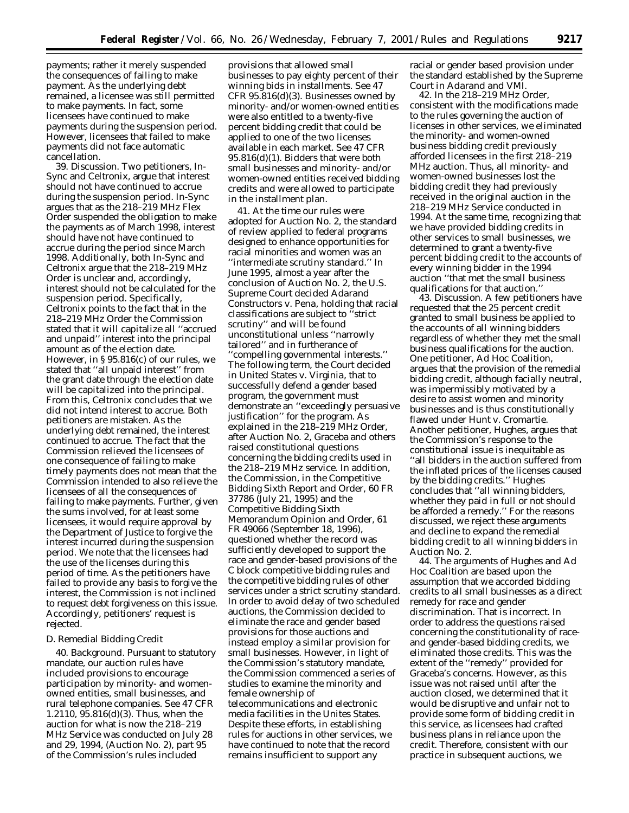payments; rather it merely suspended the consequences of failing to make payment. As the underlying debt remained, a licensee was still permitted to make payments. In fact, some licensees have continued to make payments during the suspension period. However, licensees that failed to make payments did not face automatic cancellation.

39. *Discussion.* Two petitioners, In-Sync and Celtronix, argue that interest should not have continued to accrue during the suspension period. In-Sync argues that as the *218–219 MHz Flex Order* suspended the obligation to make the payments as of March 1998, interest should have not have continued to accrue during the period since March 1998. Additionally, both In-Sync and Celtronix argue that the *218–219 MHz Order* is unclear and, accordingly, interest should not be calculated for the suspension period. Specifically, Celtronix points to the fact that in the *218–219 MHz Order* the Commission stated that it will capitalize all ''accrued and unpaid'' interest into the principal amount as of the election date. However, in § 95.816(c) of our rules, we stated that ''all unpaid interest'' from the grant date through the election date will be capitalized into the principal. From this, Celtronix concludes that we did not intend interest to accrue. Both petitioners are mistaken. As the underlying debt remained, the interest continued to accrue. The fact that the Commission relieved the licensees of one consequence of failing to make timely payments does not mean that the Commission intended to also relieve the licensees of all the consequences of failing to make payments. Further, given the sums involved, for at least some licensees, it would require approval by the Department of Justice to forgive the interest incurred during the suspension period. We note that the licensees had the use of the licenses during this period of time. As the petitioners have failed to provide any basis to forgive the interest, the Commission is not inclined to request debt forgiveness on this issue. Accordingly, petitioners' request is rejected.

### *D. Remedial Bidding Credit*

40. *Background.* Pursuant to statutory mandate, our auction rules have included provisions to encourage participation by minority- and womenowned entities, small businesses, and rural telephone companies. *See* 47 CFR 1.2110, 95.816(d)(3). Thus, when the auction for what is now the 218–219 MHz Service was conducted on July 28 and 29, 1994, (Auction No. 2), part 95 of the Commission's rules included

provisions that allowed small businesses to pay eighty percent of their winning bids in installments. *See* 47 CFR 95.816(d)(3). Businesses owned by minority- and/or women-owned entities were also entitled to a twenty-five percent bidding credit that could be applied to one of the two licenses available in each market. *See* 47 CFR 95.816(d)(1). Bidders that were both small businesses and minority- and/or women-owned entities received bidding credits and were allowed to participate in the installment plan.

41. At the time our rules were adopted for Auction No. 2, the standard of review applied to federal programs designed to enhance opportunities for racial minorities and women was an ''intermediate scrutiny standard.'' In June 1995, almost a year after the conclusion of Auction No. 2, the U.S. Supreme Court decided *Adarand Constructors* v. *Pena*, holding that racial classifications are subject to ''strict scrutiny'' and will be found unconstitutional unless ''narrowly tailored'' and in furtherance of ''compelling governmental interests.'' The following term, the Court decided in *United States* v. *Virginia*, that to successfully defend a gender based program, the government must demonstrate an ''exceedingly persuasive justification'' for the program. As explained in the *218–219 MHz Order,* after Auction No. 2, Graceba and others raised constitutional questions concerning the bidding credits used in the 218–219 MHz service. In addition, the Commission, in the *Competitive Bidding Sixth Report and Order,* 60 FR 37786 (July 21, 1995) and the *Competitive Bidding Sixth Memorandum Opinion and Order,* 61 FR 49066 (September 18, 1996), questioned whether the record was sufficiently developed to support the race and gender-based provisions of the C block competitive bidding rules and the competitive bidding rules of other services under a strict scrutiny standard. In order to avoid delay of two scheduled auctions, the Commission decided to eliminate the race and gender based provisions for those auctions and instead employ a similar provision for small businesses. However, in light of the Commission's statutory mandate, the Commission commenced a series of studies to examine the minority and female ownership of telecommunications and electronic

media facilities in the Unites States. Despite these efforts, in establishing rules for auctions in other services, we have continued to note that the record remains insufficient to support any

racial or gender based provision under the standard established by the Supreme Court in *Adarand and VMI*.

42. In the *218–219 MHz Order*, consistent with the modifications made to the rules governing the auction of licenses in other services, we eliminated the minority- and women-owned business bidding credit previously afforded licensees in the first 218–219 MHz auction. Thus, all minority- and women-owned businesses lost the bidding credit they had previously received in the original auction in the 218–219 MHz Service conducted in 1994. At the same time, recognizing that we have provided bidding credits in other services to small businesses, we determined to grant a twenty-five percent bidding credit to the accounts of every winning bidder in the 1994 auction ''that met the small business qualifications for that auction.''

43. *Discussion.* A few petitioners have requested that the 25 percent credit granted to small business be applied to the accounts of all winning bidders regardless of whether they met the small business qualifications for the auction. One petitioner, Ad Hoc Coalition, argues that the provision of the remedial bidding credit, although facially neutral, was impermissibly motivated by a desire to assist women and minority businesses and is thus constitutionally flawed under *Hunt* v. *Cromartie.* Another petitioner, Hughes, argues that the Commission's response to the constitutional issue is inequitable as ''all bidders in the auction suffered from the inflated prices of the licenses caused by the bidding credits.'' Hughes concludes that ''all winning bidders, whether they paid in full or not should be afforded a remedy.'' For the reasons discussed, we reject these arguments and decline to expand the remedial bidding credit to all winning bidders in Auction No. 2.

44. The arguments of Hughes and Ad Hoc Coalition are based upon the assumption that we accorded bidding credits to all small businesses as a direct remedy for race and gender discrimination. That is incorrect. In order to address the questions raised concerning the constitutionality of raceand gender-based bidding credits, we eliminated those credits. This was the extent of the ''remedy'' provided for Graceba's concerns. However, as this issue was not raised until after the auction closed, we determined that it would be disruptive and unfair not to provide some form of bidding credit in this service, as licensees had crafted business plans in reliance upon the credit. Therefore, consistent with our practice in subsequent auctions, we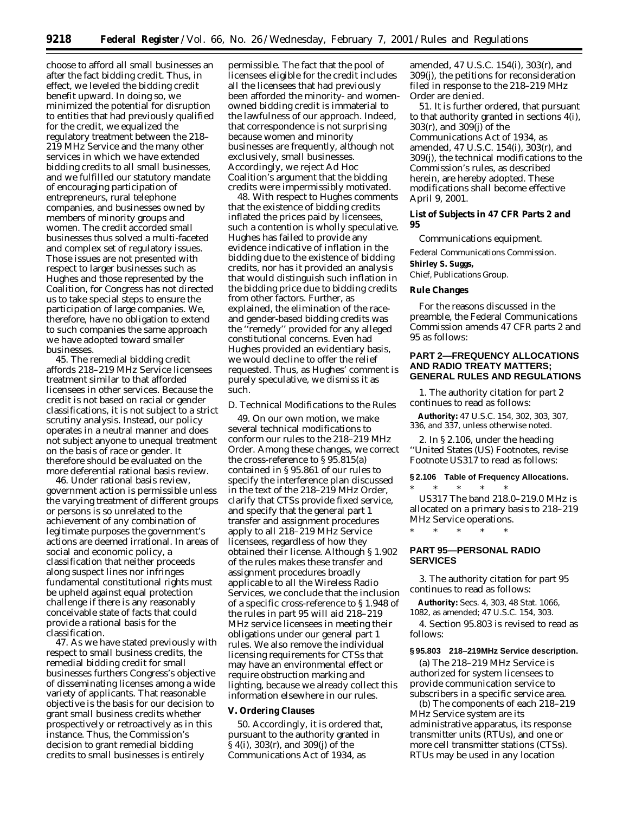choose to afford all small businesses an after the fact bidding credit. Thus, in effect, we leveled the bidding credit benefit upward. In doing so, we minimized the potential for disruption to entities that had previously qualified for the credit, we equalized the regulatory treatment between the 218– 219 MHz Service and the many other services in which we have extended bidding credits to all small businesses, and we fulfilled our statutory mandate of encouraging participation of entrepreneurs, rural telephone companies, and businesses owned by members of minority groups and women. The credit accorded small businesses thus solved a multi-faceted and complex set of regulatory issues. Those issues are not presented with respect to larger businesses such as Hughes and those represented by the Coalition, for Congress has not directed us to take special steps to ensure the participation of large companies. We, therefore, have no obligation to extend to such companies the same approach we have adopted toward smaller businesses.

45. The remedial bidding credit affords 218–219 MHz Service licensees treatment similar to that afforded licensees in other services. Because the credit is not based on racial or gender classifications, it is not subject to a strict scrutiny analysis. Instead, our policy operates in a neutral manner and does not subject anyone to unequal treatment on the basis of race or gender. It therefore should be evaluated on the more deferential rational basis review.

46. Under rational basis review, government action is permissible unless the varying treatment of different groups or persons is so unrelated to the achievement of any combination of legitimate purposes the government's actions are deemed irrational. In areas of social and economic policy, a classification that neither proceeds along suspect lines nor infringes fundamental constitutional rights must be upheld against equal protection challenge if there is any reasonably conceivable state of facts that could provide a rational basis for the classification.

47. As we have stated previously with respect to small business credits, the remedial bidding credit for small businesses furthers Congress's objective of disseminating licenses among a wide variety of applicants. That reasonable objective is the basis for our decision to grant small business credits whether prospectively or retroactively as in this instance. Thus, the Commission's decision to grant remedial bidding credits to small businesses is entirely

permissible. The fact that the pool of licensees eligible for the credit includes all the licensees that had previously been afforded the minority- and womenowned bidding credit is immaterial to the lawfulness of our approach. Indeed, that correspondence is not surprising because women and minority businesses are frequently, although not exclusively, small businesses. Accordingly, we reject Ad Hoc Coalition's argument that the bidding credits were impermissibly motivated.

48. With respect to Hughes comments that the existence of bidding credits inflated the prices paid by licensees, such a contention is wholly speculative. Hughes has failed to provide any evidence indicative of inflation in the bidding due to the existence of bidding credits, nor has it provided an analysis that would distinguish such inflation in the bidding price due to bidding credits from other factors. Further, as explained, the elimination of the raceand gender-based bidding credits was the ''remedy'' provided for any alleged constitutional concerns. Even had Hughes provided an evidentiary basis, we would decline to offer the relief requested. Thus, as Hughes' comment is purely speculative, we dismiss it as such.

### *D. Technical Modifications to the Rules*

49. On our own motion, we make several technical modifications to conform our rules to the *218–219 MHz Order.* Among these changes, we correct the cross-reference to § 95.815(a) contained in § 95.861 of our rules to specify the interference plan discussed in the text of the *218–219 MHz Order,* clarify that CTSs provide fixed service, and specify that the general part 1 transfer and assignment procedures apply to all 218–219 MHz Service licensees, regardless of how they obtained their license. Although § 1.902 of the rules makes these transfer and assignment procedures broadly applicable to all the Wireless Radio Services, we conclude that the inclusion of a specific cross-reference to § 1.948 of the rules in part 95 will aid 218–219 MHz service licensees in meeting their obligations under our general part 1 rules. We also remove the individual licensing requirements for CTSs that may have an environmental effect or require obstruction marking and lighting, because we already collect this information elsewhere in our rules.

#### **V. Ordering Clauses**

50. Accordingly, it is ordered that, pursuant to the authority granted in § 4(i), 303(r), and 309(j) of the Communications Act of 1934, as

amended, 47 U.S.C. 154(i), 303(r), and 309(j), the petitions for reconsideration filed in response to the *218–219 MHz Order* are denied.

51. It is further ordered, that pursuant to that authority granted in sections 4(i), 303(r), and 309(j) of the Communications Act of 1934, as amended, 47 U.S.C. 154(i), 303(r), and 309(j), the technical modifications to the Commission's rules, as described herein, are hereby adopted. These modifications shall become effective April 9, 2001.

## **List of Subjects in 47 CFR Parts 2 and 95**

Communications equipment.

Federal Communications Commission. **Shirley S. Suggs,**

*Chief, Publications Group.*

### **Rule Changes**

For the reasons discussed in the preamble, the Federal Communications Commission amends 47 CFR parts 2 and 95 as follows:

## **PART 2—FREQUENCY ALLOCATIONS AND RADIO TREATY MATTERS; GENERAL RULES AND REGULATIONS**

1. The authority citation for part 2 continues to read as follows:

**Authority:** 47 U.S.C. 154, 302, 303, 307, 336, and 337, unless otherwise noted.

2. In § 2.106, under the heading ''United States (US) Footnotes, revise Footnote US317 to read as follows:

#### **§ 2.106 Table of Frequency Allocations.**

\* \* \* \* \* US317 The band 218.0–219.0 MHz is allocated on a primary basis to 218–219 MHz Service operations.

\* \* \* \* \*

## **PART 95—PERSONAL RADIO SERVICES**

3. The authority citation for part 95 continues to read as follows:

**Authority:** Secs. 4, 303, 48 Stat. 1066, 1082, as amended; 47 U.S.C. 154, 303.

4. Section 95.803 is revised to read as follows:

#### **§ 95.803 218–219MHz Service description.**

(a) The 218–219 MHz Service is authorized for system licensees to provide communication service to subscribers in a specific service area.

(b) The components of each 218–219 MHz Service system are its administrative apparatus, its response transmitter units (RTUs), and one or more cell transmitter stations (CTSs). RTUs may be used in any location